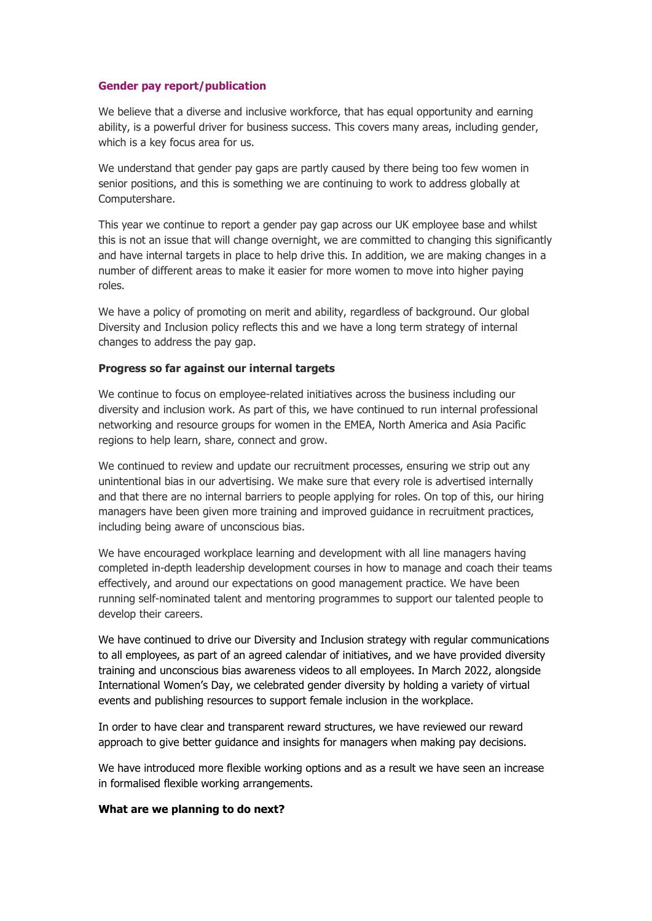#### **Gender pay report/publication**

We believe that a diverse and inclusive workforce, that has equal opportunity and earning ability, is a powerful driver for business success. This covers many areas, including gender, which is a key focus area for us.

We understand that gender pay gaps are partly caused by there being too few women in senior positions, and this is something we are continuing to work to address globally at Computershare.

This year we continue to report a gender pay gap across our UK employee base and whilst this is not an issue that will change overnight, we are committed to changing this significantly and have internal targets in place to help drive this. In addition, we are making changes in a number of different areas to make it easier for more women to move into higher paying roles.

We have a policy of promoting on merit and ability, regardless of background. Our global Diversity and Inclusion policy reflects this and we have a long term strategy of internal changes to address the pay gap.

#### **Progress so far against our internal targets**

We continue to focus on employee-related initiatives across the business including our diversity and inclusion work. As part of this, we have continued to run internal professional networking and resource groups for women in the EMEA, North America and Asia Pacific regions to help learn, share, connect and grow.

We continued to review and update our recruitment processes, ensuring we strip out any unintentional bias in our advertising. We make sure that every role is advertised internally and that there are no internal barriers to people applying for roles. On top of this, our hiring managers have been given more training and improved guidance in recruitment practices, including being aware of unconscious bias.

We have encouraged workplace learning and development with all line managers having completed in-depth leadership development courses in how to manage and coach their teams effectively, and around our expectations on good management practice. We have been running self-nominated talent and mentoring programmes to support our talented people to develop their careers.

We have continued to drive our Diversity and Inclusion strategy with regular communications to all employees, as part of an agreed calendar of initiatives, and we have provided diversity training and unconscious bias awareness videos to all employees. In March 2022, alongside International Women's Day, we celebrated gender diversity by holding a variety of virtual events and publishing resources to support female inclusion in the workplace.

In order to have clear and transparent reward structures, we have reviewed our reward approach to give better guidance and insights for managers when making pay decisions.

We have introduced more flexible working options and as a result we have seen an increase in formalised flexible working arrangements.

#### **What are we planning to do next?**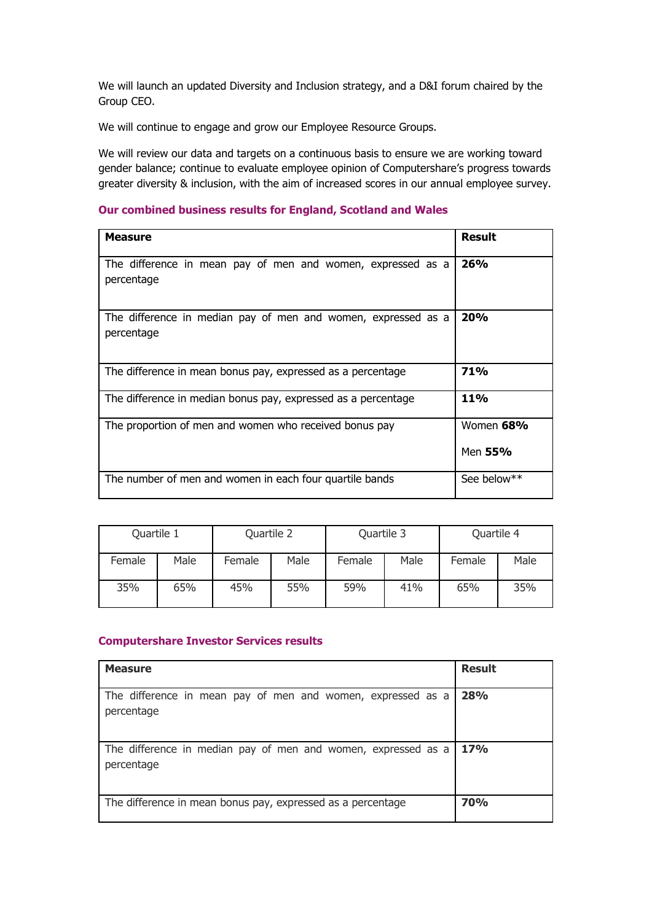We will launch an updated Diversity and Inclusion strategy, and a D&I forum chaired by the Group CEO.

We will continue to engage and grow our Employee Resource Groups.

We will review our data and targets on a continuous basis to ensure we are working toward gender balance; continue to evaluate employee opinion of Computershare's progress towards greater diversity & inclusion, with the aim of increased scores in our annual employee survey.

### **Our combined business results for England, Scotland and Wales**

| <b>Measure</b>                                                              | <b>Result</b>        |
|-----------------------------------------------------------------------------|----------------------|
| The difference in mean pay of men and women, expressed as a<br>percentage   | 26%                  |
| The difference in median pay of men and women, expressed as a<br>percentage | 20%                  |
| The difference in mean bonus pay, expressed as a percentage                 | 71%                  |
| The difference in median bonus pay, expressed as a percentage               | <b>11%</b>           |
| The proportion of men and women who received bonus pay                      | Women 68%<br>Men 55% |
| The number of men and women in each four quartile bands                     | See below**          |

| Quartile 1 |      | Quartile 2 |      | Quartile 3 |      | Quartile 4 |      |
|------------|------|------------|------|------------|------|------------|------|
| Female     | Male | Female     | Male | Female     | Male | Female     | Male |
| 35%        | 65%  | 45%        | 55%  | 59%        | 41%  | 65%        | 35%  |

#### **Computershare Investor Services results**

| <b>Measure</b>                                                              | <b>Result</b> |
|-----------------------------------------------------------------------------|---------------|
| The difference in mean pay of men and women, expressed as a<br>percentage   | 28%           |
| The difference in median pay of men and women, expressed as a<br>percentage | 17%           |
| The difference in mean bonus pay, expressed as a percentage                 | <b>70%</b>    |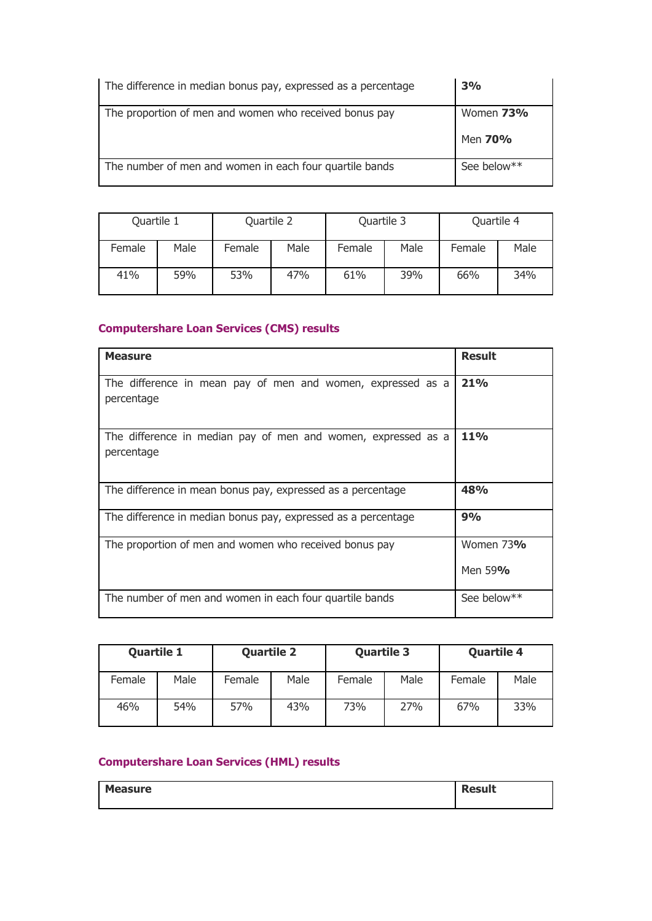| The difference in median bonus pay, expressed as a percentage | 3%                   |
|---------------------------------------------------------------|----------------------|
| The proportion of men and women who received bonus pay        | Women 73%<br>Men 70% |
|                                                               |                      |

| Quartile 1 |      | Quartile 2 |      | Quartile 3 |      | Quartile 4 |      |
|------------|------|------------|------|------------|------|------------|------|
| Female     | Male | Female     | Male | Female     | Male | Female     | Male |
| 41%        | 59%  | 53%        | 47%  | 61%        | 39%  | 66%        | 34%  |

## **Computershare Loan Services (CMS) results**

| <b>Measure</b>                                                              | <b>Result</b>        |
|-----------------------------------------------------------------------------|----------------------|
| The difference in mean pay of men and women, expressed as a<br>percentage   | 21%                  |
| The difference in median pay of men and women, expressed as a<br>percentage | <b>11%</b>           |
| The difference in mean bonus pay, expressed as a percentage                 | 48%                  |
| The difference in median bonus pay, expressed as a percentage               | 9%                   |
| The proportion of men and women who received bonus pay                      | Women 73%<br>Men 59% |
| The number of men and women in each four quartile bands                     | See below**          |

| <b>Quartile 1</b> |      | <b>Quartile 2</b> |      | <b>Quartile 3</b> |      | <b>Quartile 4</b> |      |
|-------------------|------|-------------------|------|-------------------|------|-------------------|------|
| Female            | Male | Female            | Male | Female            | Male | Female            | Male |
| 46%               | 54%  | 57%               | 43%  | 73%               | 27%  | 67%               | 33%  |

## **Computershare Loan Services (HML) results**

| <b>Measure</b> | <b>Result</b> |
|----------------|---------------|
|                |               |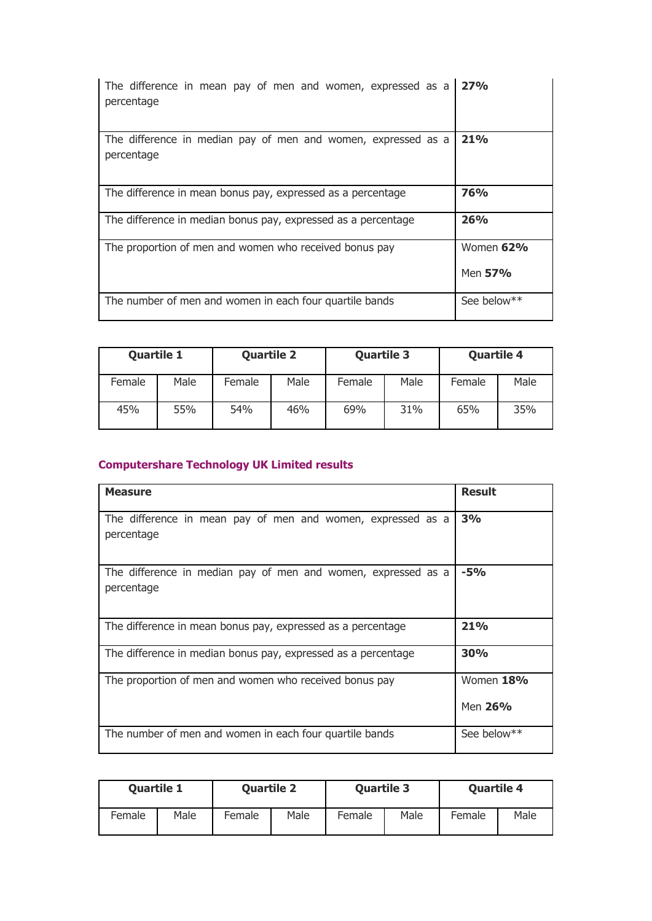| The difference in mean pay of men and women, expressed as a<br>percentage   | 27%                  |
|-----------------------------------------------------------------------------|----------------------|
| The difference in median pay of men and women, expressed as a<br>percentage | 21%                  |
| The difference in mean bonus pay, expressed as a percentage                 | <b>76%</b>           |
| The difference in median bonus pay, expressed as a percentage               | 26%                  |
| The proportion of men and women who received bonus pay                      | Women 62%<br>Men 57% |
| The number of men and women in each four quartile bands                     | See below**          |

| <b>Quartile 1</b> |      | <b>Quartile 2</b> |      | <b>Quartile 3</b> |      | <b>Quartile 4</b> |      |
|-------------------|------|-------------------|------|-------------------|------|-------------------|------|
| Female            | Male | Female            | Male | Female            | Male | Female            | Male |
| 45%               | 55%  | 54%               | 46%  | 69%               | 31%  | 65%               | 35%  |

# **Computershare Technology UK Limited results**

| <b>Measure</b>                                                              | <b>Result</b>        |
|-----------------------------------------------------------------------------|----------------------|
| The difference in mean pay of men and women, expressed as a<br>percentage   | 3%                   |
| The difference in median pay of men and women, expressed as a<br>percentage | $-5%$                |
| The difference in mean bonus pay, expressed as a percentage                 | 21%                  |
| The difference in median bonus pay, expressed as a percentage               | <b>30%</b>           |
| The proportion of men and women who received bonus pay                      | Women 18%<br>Men 26% |
| The number of men and women in each four quartile bands                     | See below**          |

|        | <b>Quartile 1</b> |        | <b>Quartile 2</b> |        | <b>Quartile 3</b> |        | <b>Quartile 4</b> |
|--------|-------------------|--------|-------------------|--------|-------------------|--------|-------------------|
| Female | Male              | Female | Male              | Female | Male              | Female | Male              |